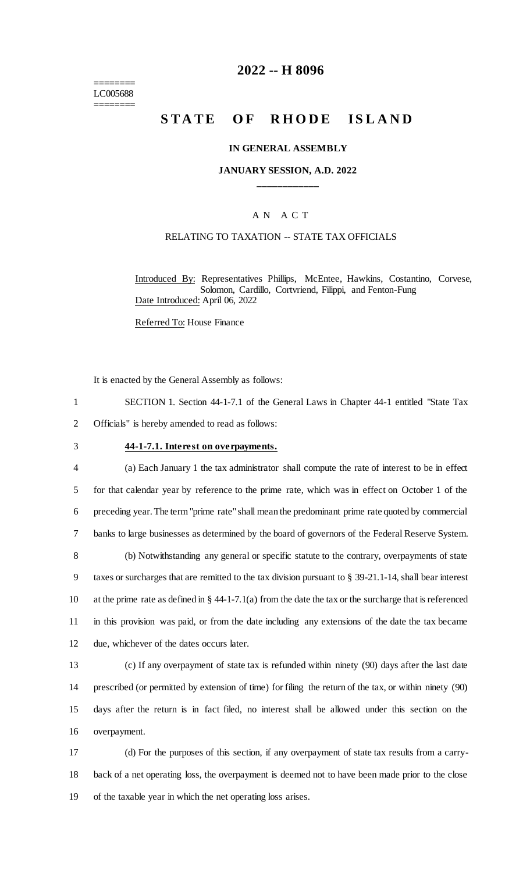======== LC005688 ========

# **2022 -- H 8096**

# **STATE OF RHODE ISLAND**

#### **IN GENERAL ASSEMBLY**

### **JANUARY SESSION, A.D. 2022 \_\_\_\_\_\_\_\_\_\_\_\_**

### A N A C T

### RELATING TO TAXATION -- STATE TAX OFFICIALS

Introduced By: Representatives Phillips, McEntee, Hawkins, Costantino, Corvese, Solomon, Cardillo, Cortvriend, Filippi, and Fenton-Fung Date Introduced: April 06, 2022

Referred To: House Finance

It is enacted by the General Assembly as follows:

1 SECTION 1. Section 44-1-7.1 of the General Laws in Chapter 44-1 entitled "State Tax 2 Officials" is hereby amended to read as follows:

#### 3 **44-1-7.1. Interest on overpayments.**

 (a) Each January 1 the tax administrator shall compute the rate of interest to be in effect for that calendar year by reference to the prime rate, which was in effect on October 1 of the preceding year. The term "prime rate" shall mean the predominant prime rate quoted by commercial banks to large businesses as determined by the board of governors of the Federal Reserve System. (b) Notwithstanding any general or specific statute to the contrary, overpayments of state taxes or surcharges that are remitted to the tax division pursuant to § 39-21.1-14, shall bear interest at the prime rate as defined in § 44-1-7.1(a) from the date the tax or the surcharge that is referenced in this provision was paid, or from the date including any extensions of the date the tax became due, whichever of the dates occurs later.

 (c) If any overpayment of state tax is refunded within ninety (90) days after the last date prescribed (or permitted by extension of time) for filing the return of the tax, or within ninety (90) days after the return is in fact filed, no interest shall be allowed under this section on the overpayment.

17 (d) For the purposes of this section, if any overpayment of state tax results from a carry-18 back of a net operating loss, the overpayment is deemed not to have been made prior to the close 19 of the taxable year in which the net operating loss arises.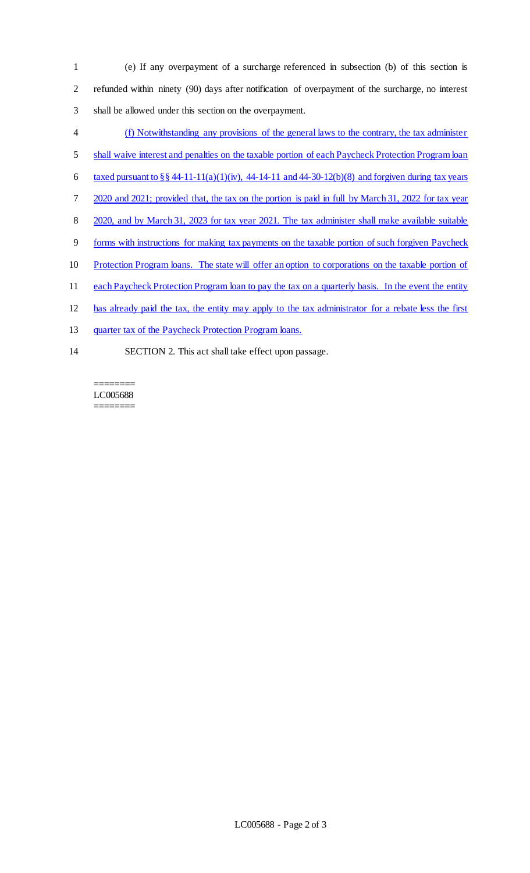- 1 (e) If any overpayment of a surcharge referenced in subsection (b) of this section is 2 refunded within ninety (90) days after notification of overpayment of the surcharge, no interest 3 shall be allowed under this section on the overpayment.
- 4 (f) Notwithstanding any provisions of the general laws to the contrary, the tax administer
- 5 shall waive interest and penalties on the taxable portion of each Paycheck Protection Program loan
- 6 taxed pursuant to  $\S\S 44-11-11(a)(1)(iv)$ , 44-14-11 and 44-30-12(b)(8) and forgiven during tax years
- 7 2020 and 2021; provided that, the tax on the portion is paid in full by March 31, 2022 for tax year
- 8 2020, and by March 31, 2023 for tax year 2021. The tax administer shall make available suitable
- 9 forms with instructions for making tax payments on the taxable portion of such forgiven Paycheck
- 10 Protection Program loans. The state will offer an option to corporations on the taxable portion of
- 11 each Paycheck Protection Program loan to pay the tax on a quarterly basis. In the event the entity
- 12 has already paid the tax, the entity may apply to the tax administrator for a rebate less the first
- 13 quarter tax of the Paycheck Protection Program loans.
- 14 SECTION 2. This act shall take effect upon passage.

#### ======== LC005688 ========